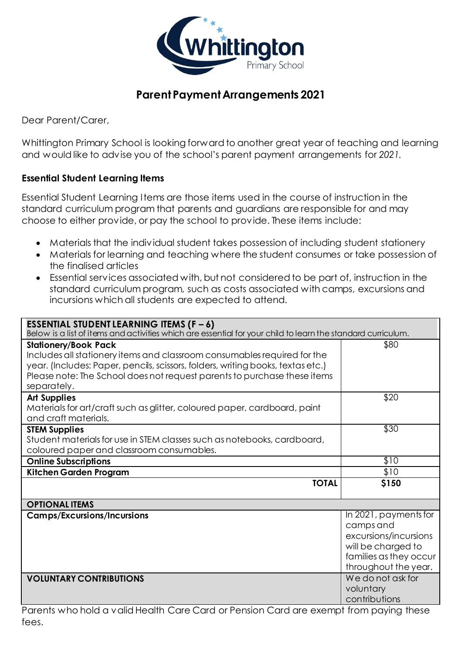

# **Parent Payment Arrangements 2021**

Dear Parent/Carer,

Whittington Primary School is looking forward to another great year of teaching and learning and would like to advise you of the school's parent payment arrangements for *2021.*

#### **Essential Student Learning Items**

Essential Student Learning Items are those items used in the course of instruction in the standard curriculum program that parents and guardians are responsible for and may choose to either provide, or pay the school to provide. These items include:

- Materials that the individual student takes possession of including student stationery
- Materials for learning and teaching where the student consumes or take possession of the finalised articles
- Essential services associated with, but not considered to be part of, instruction in the standard curriculum program, such as costs associated with camps, excursions and incursions which all students are expected to attend.

| <b>ESSENTIAL STUDENT LEARNING ITEMS (F - 6)</b><br>Below is a list of items and activities which are essential for your child to learn the standard curriculum.            |                                                |  |
|----------------------------------------------------------------------------------------------------------------------------------------------------------------------------|------------------------------------------------|--|
| <b>Stationery/Book Pack</b><br>Includes all stationery items and classroom consumables required for the                                                                    | \$80                                           |  |
| year. (Includes: Paper, pencils, scissors, folders, writing books, textas etc.)<br>Please note: The School does not request parents to purchase these items<br>separately. |                                                |  |
| <b>Art Supplies</b><br>Materials for art/craft such as glitter, coloured paper, cardboard, paint<br>and craft materials.                                                   | \$20                                           |  |
| <b>STEM Supplies</b><br>Student materials for use in STEM classes such as notebooks, cardboard,                                                                            | \$30                                           |  |
| coloured paper and classroom consumables.                                                                                                                                  |                                                |  |
| <b>Online Subscriptions</b>                                                                                                                                                | \$10                                           |  |
| Kitchen Garden Program                                                                                                                                                     | \$10                                           |  |
| <b>TOTAL</b>                                                                                                                                                               | \$150                                          |  |
| <b>OPTIONAL ITEMS</b>                                                                                                                                                      |                                                |  |
| <b>Camps/Excursions/Incursions</b>                                                                                                                                         | In 2021, payments for                          |  |
|                                                                                                                                                                            | camps and                                      |  |
|                                                                                                                                                                            | excursions/incursions                          |  |
|                                                                                                                                                                            | will be charged to                             |  |
|                                                                                                                                                                            | families as they occur<br>throughout the year. |  |
| <b>VOLUNTARY CONTRIBUTIONS</b>                                                                                                                                             | We do not ask for                              |  |
|                                                                                                                                                                            | voluntary                                      |  |
|                                                                                                                                                                            | contributions                                  |  |

Parents who hold a valid Health Care Card or Pension Card are exempt from paying these fees.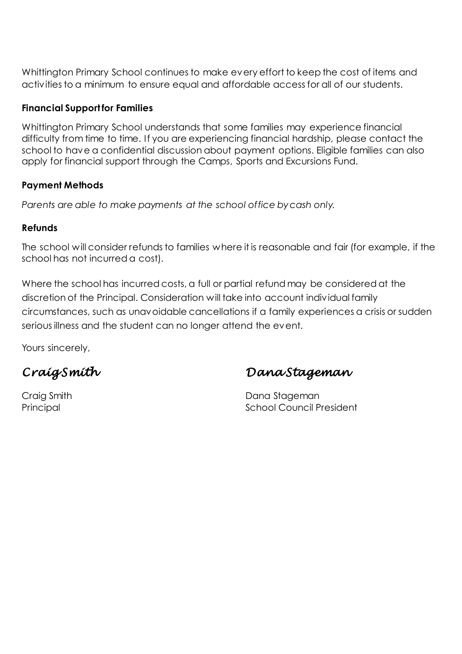Whittington Primary School continues to make every effort to keep the cost of items and activities to a minimum to ensure equal and affordable access for all of our students.

#### **Financial Support for Families**

Whittington Primary School understands that some families may experience financial difficulty from time to time. If you are experiencing financial hardship, please contact the school to have a confidential discussion about payment options. Eligible families can also apply for financial support through the Camps, Sports and Excursions Fund.

#### **Payment Methods**

*Parents are able to make payments at the school office by cash only.* 

#### **Refunds**

The school will consider refunds to families where it is reasonable and fair (for example, if the school has not incurred a cost).

Where the school has incurred costs, a full or partial refund may be considered at the discretion of the Principal. Consideration will take into account individual family circumstances, such as unavoidable cancellations if a family experiences a crisis or sudden serious illness and the student can no longer attend the event.

Yours sincerely,

*Craig Smith Dana Stageman*

Craig Smith **Dana Stageman** Principal **Principal School Council President**